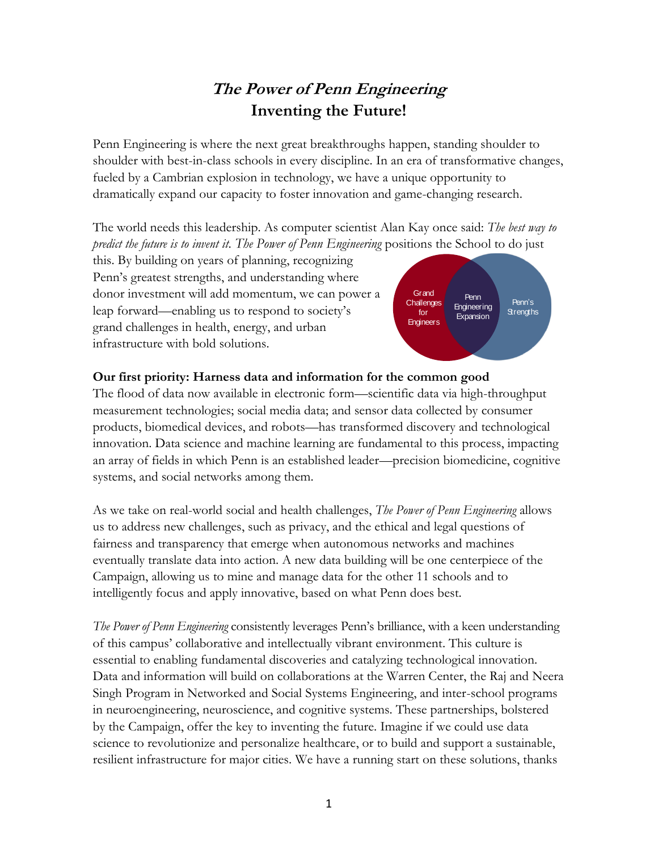## **The Power of Penn Engineering Inventing the Future!**

Penn Engineering is where the next great breakthroughs happen, standing shoulder to shoulder with best-in-class schools in every discipline. In an era of transformative changes, fueled by a Cambrian explosion in technology, we have a unique opportunity to dramatically expand our capacity to foster innovation and game-changing research.

The world needs this leadership. As computer scientist Alan Kay once said: *The best way to predict the future is to invent it. The Power of Penn Engineering* positions the School to do just

this. By building on years of planning, recognizing Penn's greatest strengths, and understanding where donor investment will add momentum, we can power a leap forward—enabling us to respond to society's grand challenges in health, energy, and urban infrastructure with bold solutions.



## **Our first priority: Harness data and information for the common good**

The flood of data now available in electronic form—scientific data via high-throughput measurement technologies; social media data; and sensor data collected by consumer products, biomedical devices, and robots—has transformed discovery and technological innovation. Data science and machine learning are fundamental to this process, impacting an array of fields in which Penn is an established leader—precision biomedicine, cognitive systems, and social networks among them.

As we take on real-world social and health challenges, *The Power of Penn Engineering* allows us to address new challenges, such as privacy, and the ethical and legal questions of fairness and transparency that emerge when autonomous networks and machines eventually translate data into action. A new data building will be one centerpiece of the Campaign, allowing us to mine and manage data for the other 11 schools and to intelligently focus and apply innovative, based on what Penn does best.

*The Power of Penn Engineering* consistently leverages Penn's brilliance, with a keen understanding of this campus' collaborative and intellectually vibrant environment. This culture is essential to enabling fundamental discoveries and catalyzing technological innovation. Data and information will build on collaborations at the Warren Center, the Raj and Neera Singh Program in Networked and Social Systems Engineering, and inter-school programs in neuroengineering, neuroscience, and cognitive systems. These partnerships, bolstered by the Campaign, offer the key to inventing the future. Imagine if we could use data science to revolutionize and personalize healthcare, or to build and support a sustainable, resilient infrastructure for major cities. We have a running start on these solutions, thanks